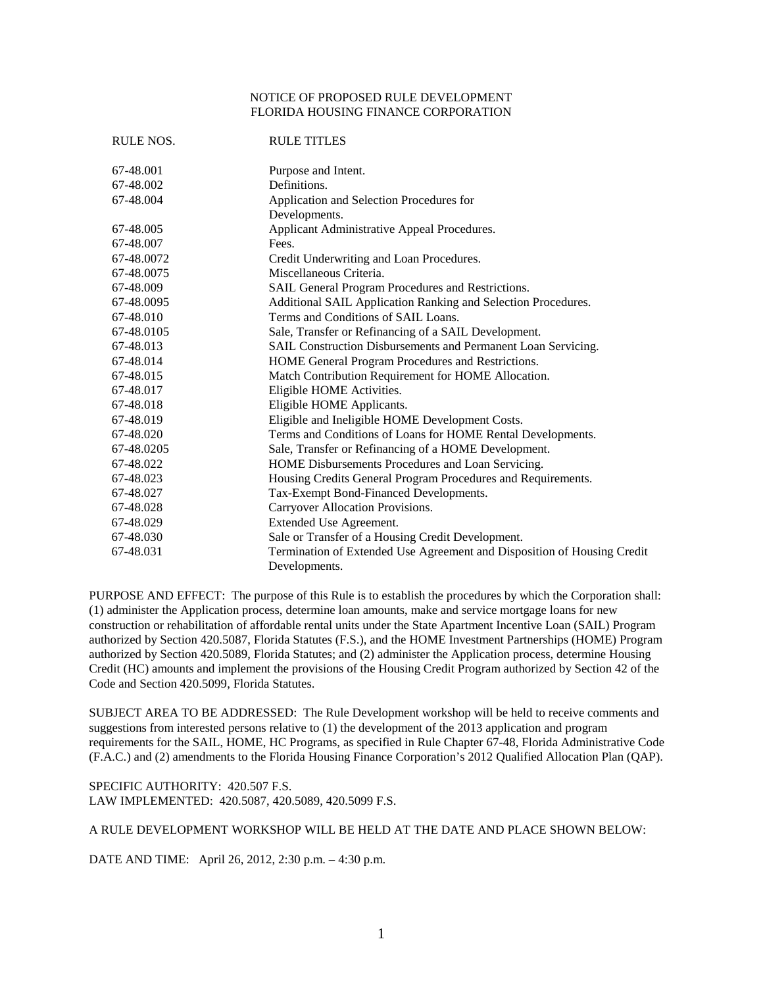## NOTICE OF PROPOSED RULE DEVELOPMENT FLORIDA HOUSING FINANCE CORPORATION

| RULE NOS.  | <b>RULE TITLES</b>                                                      |
|------------|-------------------------------------------------------------------------|
| 67-48.001  | Purpose and Intent.                                                     |
| 67-48.002  | Definitions.                                                            |
| 67-48.004  | Application and Selection Procedures for                                |
|            | Developments.                                                           |
| 67-48.005  | Applicant Administrative Appeal Procedures.                             |
| 67-48.007  | Fees.                                                                   |
| 67-48.0072 | Credit Underwriting and Loan Procedures.                                |
| 67-48.0075 | Miscellaneous Criteria.                                                 |
| 67-48.009  | SAIL General Program Procedures and Restrictions.                       |
| 67-48.0095 | Additional SAIL Application Ranking and Selection Procedures.           |
| 67-48.010  | Terms and Conditions of SAIL Loans.                                     |
| 67-48.0105 | Sale, Transfer or Refinancing of a SAIL Development.                    |
| 67-48.013  | SAIL Construction Disbursements and Permanent Loan Servicing.           |
| 67-48.014  | HOME General Program Procedures and Restrictions.                       |
| 67-48.015  | Match Contribution Requirement for HOME Allocation.                     |
| 67-48.017  | Eligible HOME Activities.                                               |
| 67-48.018  | Eligible HOME Applicants.                                               |
| 67-48.019  | Eligible and Ineligible HOME Development Costs.                         |
| 67-48.020  | Terms and Conditions of Loans for HOME Rental Developments.             |
| 67-48.0205 | Sale, Transfer or Refinancing of a HOME Development.                    |
| 67-48.022  | HOME Disbursements Procedures and Loan Servicing.                       |
| 67-48.023  | Housing Credits General Program Procedures and Requirements.            |
| 67-48.027  | Tax-Exempt Bond-Financed Developments.                                  |
| 67-48.028  | Carryover Allocation Provisions.                                        |
| 67-48.029  | Extended Use Agreement.                                                 |
| 67-48.030  | Sale or Transfer of a Housing Credit Development.                       |
| 67-48.031  | Termination of Extended Use Agreement and Disposition of Housing Credit |
|            | Developments.                                                           |

PURPOSE AND EFFECT: The purpose of this Rule is to establish the procedures by which the Corporation shall: (1) administer the Application process, determine loan amounts, make and service mortgage loans for new construction or rehabilitation of affordable rental units under the State Apartment Incentive Loan (SAIL) Program authorized by Section 420.5087, Florida Statutes (F.S.), and the HOME Investment Partnerships (HOME) Program authorized by Section 420.5089, Florida Statutes; and (2) administer the Application process, determine Housing Credit (HC) amounts and implement the provisions of the Housing Credit Program authorized by Section 42 of the Code and Section 420.5099, Florida Statutes.

SUBJECT AREA TO BE ADDRESSED: The Rule Development workshop will be held to receive comments and suggestions from interested persons relative to (1) the development of the 2013 application and program requirements for the SAIL, HOME, HC Programs, as specified in Rule Chapter 67-48, Florida Administrative Code (F.A.C.) and (2) amendments to the Florida Housing Finance Corporation's 2012 Qualified Allocation Plan (QAP).

SPECIFIC AUTHORITY: 420.507 F.S. LAW IMPLEMENTED: 420.5087, 420.5089, 420.5099 F.S.

A RULE DEVELOPMENT WORKSHOP WILL BE HELD AT THE DATE AND PLACE SHOWN BELOW:

DATE AND TIME: April 26, 2012, 2:30 p.m. – 4:30 p.m.